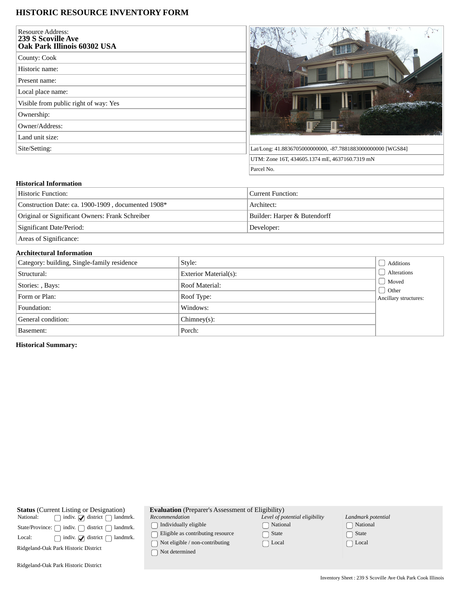## **HISTORIC RESOURCE INVENTORY FORM**

| <b>Resource Address:</b><br><b>239 S Scoville Ave</b><br>Oak Park Illinois 60302 USA |  |
|--------------------------------------------------------------------------------------|--|
| County: Cook                                                                         |  |
| Historic name:                                                                       |  |
| Present name:                                                                        |  |
| Local place name:                                                                    |  |
| Visible from public right of way: Yes                                                |  |
| Ownership:                                                                           |  |
| Owner/Address:                                                                       |  |
| Land unit size:                                                                      |  |
| Site/Setting:                                                                        |  |
|                                                                                      |  |



## **Historical Information**

| ' Historic Function:                               | ' Current Function:          |
|----------------------------------------------------|------------------------------|
| Construction Date: ca. 1900-1909, documented 1908* | Architect:                   |
| Original or Significant Owners: Frank Schreiber    | Builder: Harper & Butendorff |
| Significant Date/Period:                           | Developer:                   |
|                                                    |                              |

Areas of Significance:

## **Architectural Information**

| Category: building, Single-family residence | Style:                | Additions                                         |
|---------------------------------------------|-----------------------|---------------------------------------------------|
| Structural:                                 | Exterior Material(s): | Alterations                                       |
| Stories: , Bays:                            | Roof Material:        | Moved<br>$\bigcup$ Other<br>Ancillary structures: |
| Form or Plan:                               | Roof Type:            |                                                   |
| Foundation:                                 | Windows:              |                                                   |
| General condition:                          | $Chimney(s)$ :        |                                                   |
| Basement:                                   | Porch:                |                                                   |

**Historical Summary:**

**Status** (Current Listing or Designation)<br>National:  $\bigcap$  indiv.  $\bigcap$  district  $\bigcap$  landr  $\hfill\text{\sf \_}$  indiv.  $\hfill\text{\sf \_}$  district  $\hfill\text{\sf \_}$  landmrk.  $\begin{minipage}[c]{0.9\linewidth} \textbf{State/Province:} \ \textcolor{red}{\bigcap} \ \textbf{indiv.} \ \textcolor{red}{\bigcap} \ \textbf{district} \ \textcolor{red}{\bigcap} \ \textbf{landmrk.} \end{minipage}$ Local:  $\bigcap$  indiv.  $\bigcirc$  district  $\bigcirc$  landmrk. Ridgeland-Oak Park Historic District Ridgeland-Oak Park Historic District **Evaluation** (Preparer's Assessment of Eligibility) *Recommendation*  $\bigcap$  Individually eligible  $\hfill\textcolor{red}{\Box}$  Eligible as contributing resource  $\hfill\textcolor{red}{\fbox{}}$  Not eligible / non-contributing Not determined *Level of potential eligibility* National State □ Local *Landmark potential* National  $\Box$  State  $\Box$  Local